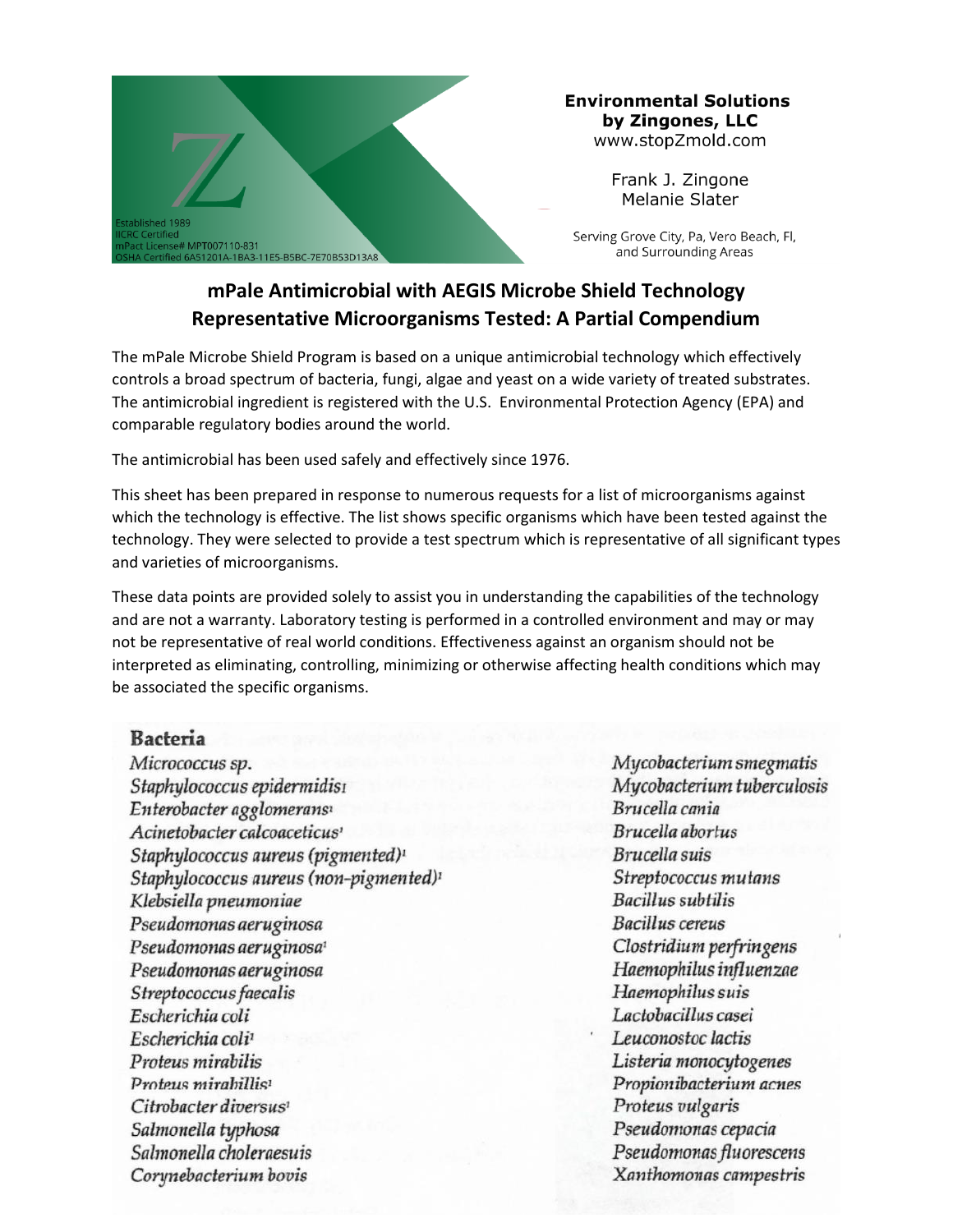

#### **Environmental Solutions** by Zingones, LLC www.stopZmold.com

Frank J. Zingone Melanie Slater

Serving Grove City, Pa, Vero Beach, Fl, and Surrounding Areas

## **mPale Antimicrobial with AEGIS Microbe Shield Technology Representative Microorganisms Tested: A Partial Compendium**

The mPale Microbe Shield Program is based on a unique antimicrobial technology which effectively controls a broad spectrum of bacteria, fungi, algae and yeast on a wide variety of treated substrates. The antimicrobial ingredient is registered with the U.S. Environmental Protection Agency (EPA) and comparable regulatory bodies around the world.

The antimicrobial has been used safely and effectively since 1976.

This sheet has been prepared in response to numerous requests for a list of microorganisms against which the technology is effective. The list shows specific organisms which have been tested against the technology. They were selected to provide a test spectrum which is representative of all significant types and varieties of microorganisms.

These data points are provided solely to assist you in understanding the capabilities of the technology and are not a warranty. Laboratory testing is performed in a controlled environment and may or may not be representative of real world conditions. Effectiveness against an organism should not be interpreted as eliminating, controlling, minimizing or otherwise affecting health conditions which may be associated the specific organisms.

## **Bacteria**

Micrococcus sp. Staphylococcus epidermidisi Enterobacter agglomerans<sup>1</sup> Acinetobacter calcoaceticus' Staphylococcus aureus (pigmented)<sup>1</sup>  $Staphylococcus aureus (non-pigmented)^{1}$ Klebsiella pneumoniae Pseudomonas aeruginosa Pseudomonas aeruginosa Pseudomonas aeruginosa Pseudomonas aeruginosa<sup>1</sup> Pseudomonas aeruginosa mirabilis Paemophilus influenzae<br>Streptococcus faecalis salmonella typhosa Salmonella Choleraesus' Salmonella typhosa Salmonella choleraesuis Streptococcus faecalis Escherichia coli Escherichia coli<sup>1</sup> Proteus mirabilis Proteus mirabillis<sup>1</sup> Citrobacter diversus<sup>1</sup> Salmonella typhosa Salmonella choleraesuis Corynebacterium bovis

Mycobacterium smegmatis Mycobacterium tuberculosis Brucella cania Brucella abortus Brucella suis Streptococcus mutans **Bacillus subtilis** Clostridium perfringens Lactobacillus casei Leuconostoc lactis Listeria monocytogenes Propionibacterium acnes Proteus vulgaris Pseudomonas cepacia Pseudomonas fluorescens Xanthomonas campestris